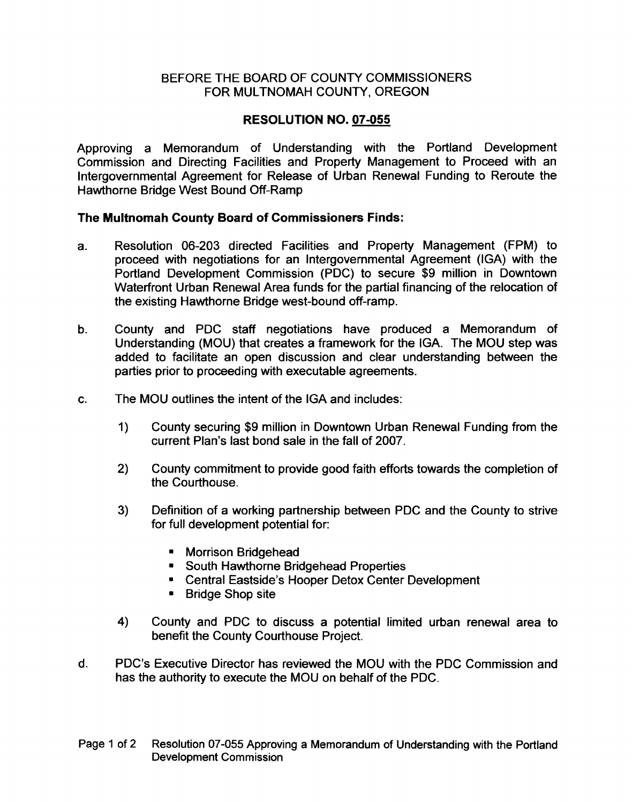## BEFORE THE BOARD OF COUNTY COMMISSIONERS FOR MULTNOMAH COUNTY, OREGON

## RESOLUTION NO. 07-055

Approving a Memorandum of Understanding with the Portland Development Commission and Directing Facilities and Property Management to Proceed with an Intergovernmental Agreement for Release of Urban Renewal Funding to Reroute the Hawthorne Bridge West Bound Off-Ramp

## The Multnomah County Board of Commissioners Finds:

- a. Resolution 06-203 directed Facilities and Property Management (FPM) to proceed with negotiations for an Intergovernmental Agreement (IGA) with the Portland Development Commission (PDC) to secure \$9 million in Downtown Waterfront Urban Renewal Area funds for the partial financing of the relocation of the existing Hawthorne Bridge west-bound off-ramp.
- b. County and PDC staff negotiations have produced a Memorandum of Understanding (MOU) that creates a framework for the IGA. The MOU step was added to facilitate an open discussion and clear understanding between the parties prior to proceeding with executable agreements.
- c. The MOU outlines the intent of the IGA and includes:
	- 1) County securing \$9 million in Downtown Urban Renewal Funding from the current Plan's last bond sale in the fall of 2007.
	- 2) County commitment to provide good faith efforts towards the completion of the Courthouse.
	- 3) Definition of a working partnership between PDC and the County to strive for full development potential for:
		- Morrison Bridgehead
		- South Hawthorne Bridgehead Properties
		- Central Eastside's Hooper Detox Center Development
		- Bridge Shop site
	- 4) County and PDC to discuss a potential limited urban renewal area to benefit the County Courthouse Project.
- d. PDC's Executive Director has reviewed the MOU with the PDC Commission and has the authority to execute the MOU on behalf of the PDC.
- Page 1 of 2 Resolution 07-055 Approving a Memorandum of Understanding with the Portland Development Commission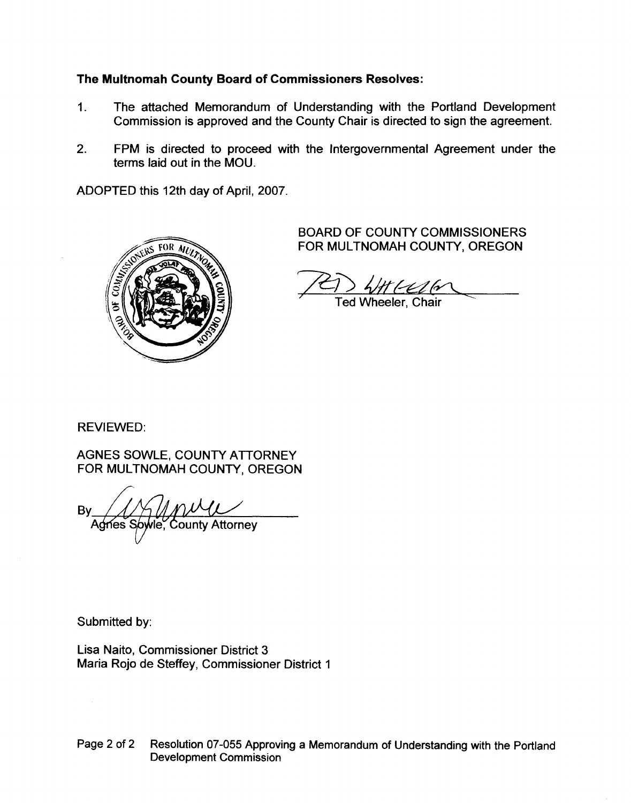# The Multnomah County Board of Commissioners Resolves:

- 1. The attached Memorandum of Understanding with the Portland Development Commission is approved and the County Chair is directed to sign the agreement.
- 2. FPM is directed to proceed with the Intergovernmental Agreement under the terms laid out in the MOU.

ADOPTED this 12th day of April, 2007.



BOARD OF COUNTY COMMISSIONERS FOR MULTNOMAH COUNTY, OREGON

*~) 4J1rt0d~*  $\gamma$  Ted Wheeler, Chair  $\gamma$ 

REVIEWED:

AGNES SOWLE, COUNTY ATIORNEY FOR MULTNOMAH COUNTY, OREGON

**Bv** County Attorney Agnes S

Submitted by:

Lisa Naito, Commissioner District 3 Maria Rojo de Steffey, Commissioner District 1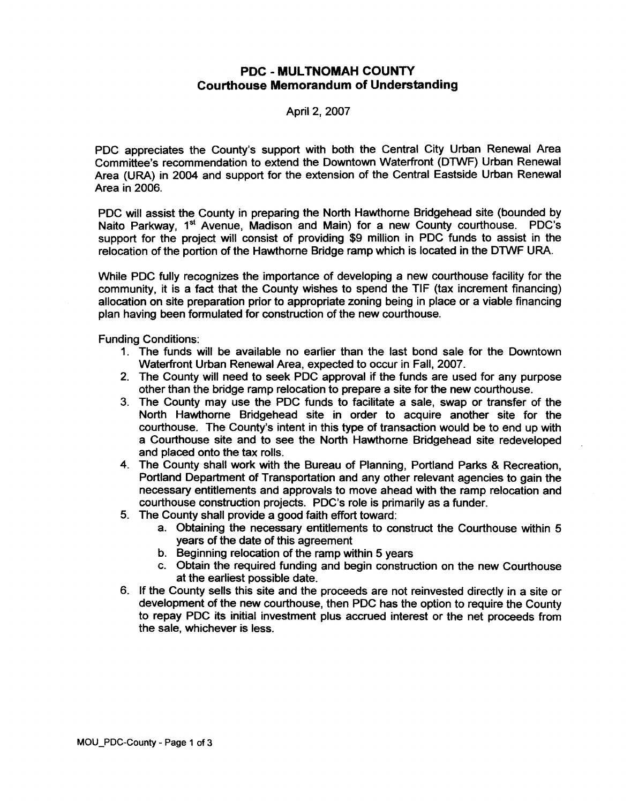### **PDC - MUL TNOMAH COUNTY Courthouse Memorandum of Understanding**

#### Apri12,2007

PDC appreciates the County's support with both the Central City Urban Renewal Area Committee's recommendation to extend the Downtown Waterfront (DTWF) Urban Renewal Area (URA) in 2004 and support for the extension of the Central Eastside Urban Renewal Area in 2006.

PDC will assist the County in preparing the North Hawthorne Bridgehead site (bounded by Naito Parkway, 1<sup>st</sup> Avenue, Madison and Main) for a new County courthouse. PDC's support for the project will consist of providing \$9 million in PDC funds to assist in the relocation of the portion of the Hawthorne Bridge ramp which is located in the DTWF URA.

While PDC fully recognizes the importance of developing a new courthouse facility for the community, it is a fact that the County wishes to spend the TIF (tax increment financing) allocation on site preparation prior to appropriate zoning being in place or a viable financing plan having been formulated for construction of the new courthouse.

Funding Conditions:

- 1. The funds will be available no earlier than the last bond sale for the Downtown Waterfront Urban Renewal Area, expected to occur in Fall, 2007.
- 2. The County will need to seek PDC approval if the funds are used for any purpose other than the bridge ramp relocation to prepare a site for the new courthouse.
- 3. The County may use the PDC funds to facilitate a sale, swap or transfer of the North Hawthorne Bridgehead site in order to acquire another site for the courthouse. The County's intent in this type of transaction would be to end up with a Courthouse site and to see the North Hawthorne Bridgehead site redeveloped and placed onto the tax rolls.
- 4. The County shall work with the Bureau of Planning, Portland Parks & Recreation, Portland Department of Transportation and any other relevant agencies to gain the necessary entitlements and approvals to move ahead with the ramp relocation and courthouse construction projects. PDC's role is primarily as a funder.
- 5. The County shall provide a good faith effort toward:
	- a. Obtaining the necessary entitlements to construct the Courthouse within 5 years of the date of this agreement
	- b. Beginning relocation of the ramp within 5 years
	- c. Obtain the required funding and begin construction on the new Courthouse at the earliest possible date.
- 6. If the County sells this site and the proceeds are not reinvested directly in a site or development of the new courthouse, then PDC has the option to require the County to repay PDC its initial investment plus accrued interest or the net proceeds from the sale, whichever is less.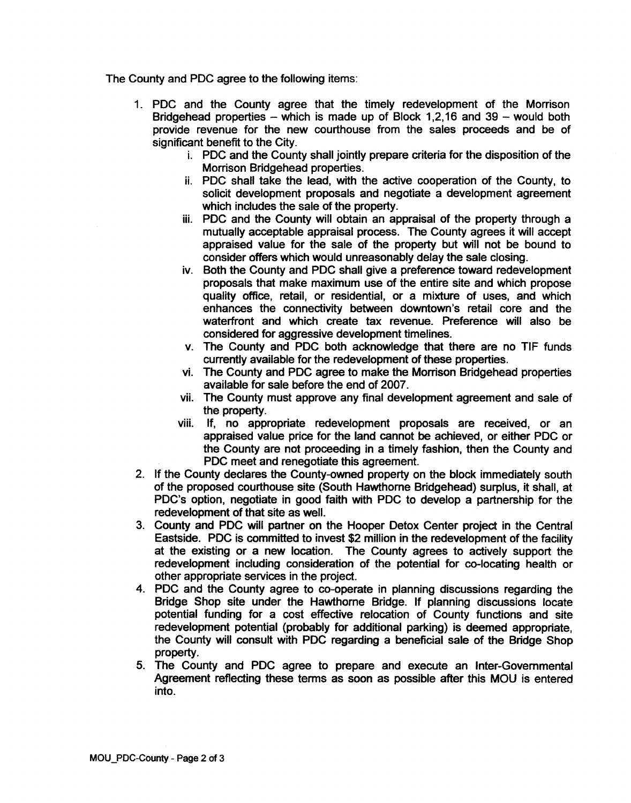The County and PDC agree to the following items:

- 1. PDC and the County agree that the timely redevelopment of the Morrison Bridgehead properties - which is made up of Block 1,2,16 and 39 - would both provide revenue for the new courthouse from the sales proceeds and be of significant benefit to the City.
	- i. PDC and the County shall jointly prepare criteria for the disposition of the Morrison Bridgehead properties.
	- ii. PDC shall take the lead, with the active cooperation of the County, to solicit development proposals and negotiate a development agreement which includes the sale of the property.
	- iii. PDC and the County will obtain an appraisal of the property through a mutually acceptable appraisal process. The County agrees it will accept appraised value for the sale of the property but will not be bound to consider offers which would unreasonably delay the sale closing.
	- iv. Both the County and PDC shall give a preference toward redevelopment proposals that make maximum use of the entire site and which propose quality office, retail, or residential, or a mixture of uses, and which enhances the connectivity between downtown's retail core and the waterfront and which create tax revenue. Preference will also be considered for aggressive development timelines.
	- v. The County and PDC both acknowledge that there are no TIF funds currently available for the redevelopment of these properties.
	- vi. The County and PDC agree to make the Morrison Bridgehead properties available for sale before the end of 2007.
	- vii. The County must approve any final development agreement and sale of the property.
	- viii. If, no appropriate redevelopment proposals are received, or an appraised value price for the land cannot be achieved, or either PDC or the County are not proceeding in a timely fashion, then the County and PDC meet and renegotiate this agreement.
- 2. If the County declares the County-owned property on the block immediately south of the proposed courthouse site (South Hawthorne Bridgehead) surplus, it shall, at PDC's option, negotiate in good faith with PDC to develop a partnership for the redevelopment of that site as well.
- 3. County and PDC will partner on the Hooper Detox Center project in the Central Eastside. PDC is committed to invest \$2 million in the redevelopment of the facility at the existing or a new location. The County agrees to actively support the redevelopment including consideration of the potential for co-Iocating health or other appropriate services in the project.
- 4. PDC and the County agree to co-operate in planning discussions regarding the Bridge Shop site under the Hawthorne Bridge. If planning discussions locate potential funding for a cost effective relocation of County functions and site redevelopment potential (probably for additional parking) is deemed appropriate, the County will consult with PDC regarding a beneficial sale of the Bridge Shop property.
- 5. The County and PDC agree to prepare and execute an Inter-Governmental Agreement reflecting these terms as soon as possible after this MOU is entered into.